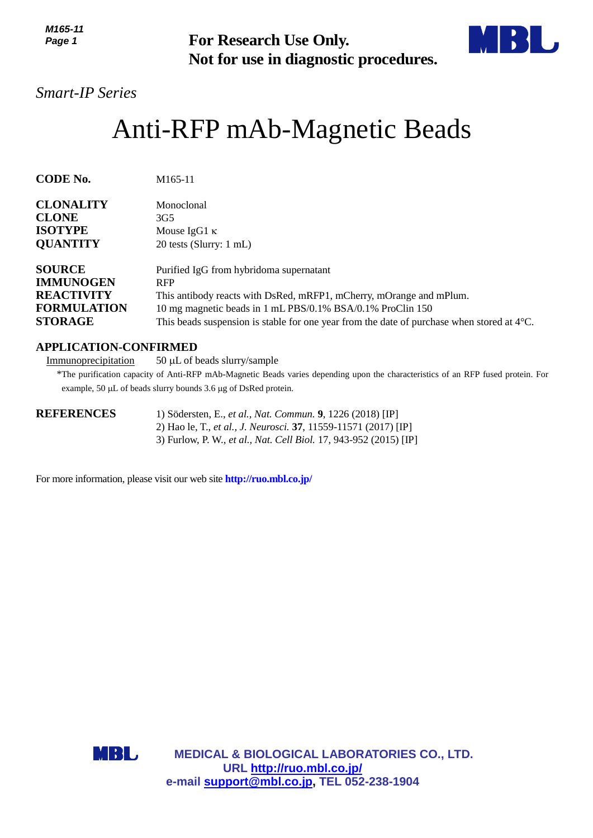*M165-11 Page 1*



# Anti-RFP mAb-Magnetic Beads

| IVI 10J-11<br>Page 1                                                                           | <b>For Research Use Only.</b><br>Not for use in diagnostic procedures.                                                                                                                                                                                                                             |
|------------------------------------------------------------------------------------------------|----------------------------------------------------------------------------------------------------------------------------------------------------------------------------------------------------------------------------------------------------------------------------------------------------|
| <b>Smart-IP Series</b>                                                                         |                                                                                                                                                                                                                                                                                                    |
|                                                                                                | Anti-RFP mAb-Magnetic Beads                                                                                                                                                                                                                                                                        |
| <b>CODE No.</b>                                                                                | M165-11                                                                                                                                                                                                                                                                                            |
| <b>CLONALITY</b><br><b>CLONE</b><br><b>ISOTYPE</b><br><b>QUANTITY</b>                          | Monoclonal<br>3G <sub>5</sub><br>Mouse IgG1 $\kappa$<br>20 tests (Slurry: 1 mL)                                                                                                                                                                                                                    |
| <b>SOURCE</b><br><b>IMMUNOGEN</b><br><b>REACTIVITY</b><br><b>FORMULATION</b><br><b>STORAGE</b> | Purified IgG from hybridoma supernatant<br><b>RFP</b><br>This antibody reacts with DsRed, mRFP1, mCherry, mOrange and mPlum.<br>10 mg magnetic beads in 1 mL PBS/0.1% BSA/0.1% ProClin 150<br>This beads suspension is stable for one year from the date of purchase when stored at $4^{\circ}C$ . |
| <b>APPLICATION-CONFIRMED</b><br>Immunoprecipitation                                            | $50 \mu L$ of beads slurry/sample<br>*The purification capacity of Anti-RFP mAb-Magnetic Beads varies depending upon the characteristics of an RFP fused protein. I<br>example, 50 µL of beads slurry bounds 3.6 µg of DsRed protein.                                                              |
| <b>REFERENCES</b>                                                                              | 1) Södersten, E., et al., Nat. Commun. 9, 1226 (2018) [IP]<br>2) Hao le, T., et al., J. Neurosci. 37, 11559-11571 (2017) [IP]<br>3) Furlow, P. W., et al., Nat. Cell Biol. 17, 943-952 (2015) [IP]                                                                                                 |
|                                                                                                | For more information, please visit our web site <b>http://ruo.mbl.co.jp/</b>                                                                                                                                                                                                                       |
|                                                                                                |                                                                                                                                                                                                                                                                                                    |
|                                                                                                |                                                                                                                                                                                                                                                                                                    |
| MBL                                                                                            | <b>MEDICAL &amp; BIOLOGICAL LABORATORIES CO., LTD.</b><br>URL http://ruo.mbl.co.jp/<br>e-mail support@mbl.co.jp, TEL 052-238-1904                                                                                                                                                                  |

# **APPLICATION-CONFIRMED**

| <b>REFERENCES</b> | 1) Södersten, E., et al., Nat. Commun. 9, 1226 (2018) [IP]                      |
|-------------------|---------------------------------------------------------------------------------|
|                   | 2) Hao le, T., <i>et al., J. Neurosci</i> . <b>37</b> , 11559-11571 (2017) [IP] |
|                   | 3) Furlow, P. W., et al., Nat. Cell Biol. 17, 943-952 (2015) [IP]               |

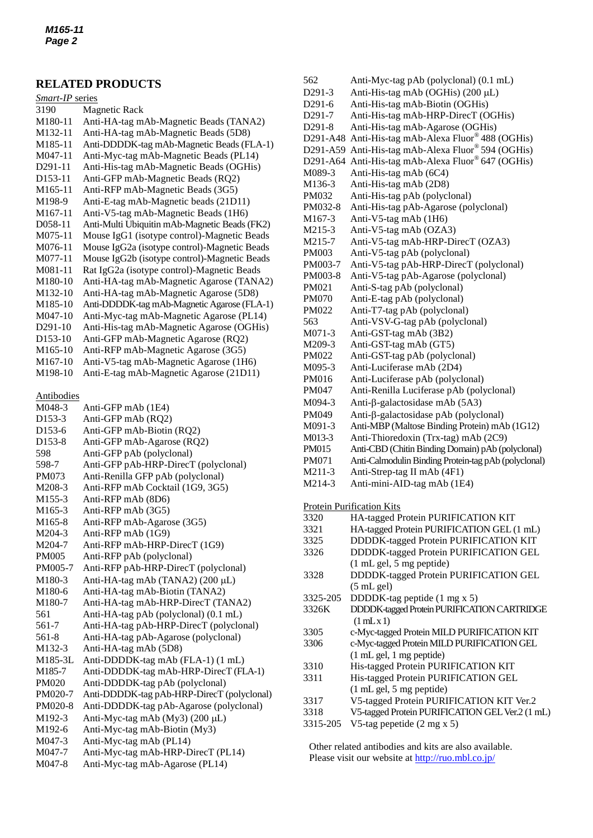## **RELATED PRODUCTS**

# *Smart-IP* series

- 3190 Magnetic Rack
- M180-11 Anti-HA-tag mAb-Magnetic Beads (TANA2) M132-11 Anti-HA-tag mAb-Magnetic Beads (5D8) M185-11 Anti-DDDDK-tag mAb-Magnetic Beads (FLA-1) M047-11 Anti-Myc-tag mAb-Magnetic Beads (PL14) D291-11 Anti-His-tag mAb-Magnetic Beads (OGHis) D153-11 Anti-GFP mAb-Magnetic Beads (RQ2) M165-11 Anti-RFP mAb-Magnetic Beads (3G5) M198-9 Anti-E-tag mAb-Magnetic beads (21D11) M167-11 Anti-V5-tag mAb-Magnetic Beads (1H6) D058-11 Anti-Multi Ubiquitin mAb-Magnetic Beads (FK2) M075-11 [Mouse IgG1 \(isotype control\)-Magnetic Beads](http://ruo.mbl.co.jp/dtl/A/M075-9/) M076-11 Mouse IgG2a [\(isotype control\)-Magnetic Beads](http://ruo.mbl.co.jp/dtl/A/M075-9/) M077-11 Mouse IgG2b [\(isotype control\)-Magnetic Beads](http://ruo.mbl.co.jp/dtl/A/M075-9/) M081-11 Rat IgG2a [\(isotype control\)-Magnetic Beads](http://ruo.mbl.co.jp/dtl/A/M075-9/) M180-10 Anti-HA-tag mAb-Magnetic Agarose (TANA2) M132-10 Anti-HA-tag mAb-Magnetic Agarose (5D8) M185-10 Anti-DDDDK-tag mAb-Magnetic Agarose (FLA-1) M047-10 Anti-Myc-tag mAb-Magnetic Agarose (PL14) D291-10 Anti-His-tag mAb-Magnetic Agarose (OGHis) D153-10 Anti-GFP mAb-Magnetic Agarose (RQ2) M165-10 Anti-RFP mAb-Magnetic Agarose (3G5) M167-10 Anti-V5-tag mAb-Magnetic Agarose (1H6) M198-10 Anti-E-tag mAb-Magnetic Agarose (21D11)

#### Antibodies

M048-3 Anti-GFP mAb (1E4) D153-3 Anti-GFP mAb (RQ2) D153-6 Anti-GFP mAb-Biotin (RQ2) D153-8 Anti-GFP mAb-Agarose (RQ2) 598 Anti-GFP pAb (polyclonal) 598-7 Anti-GFP pAb-HRP-DirecT (polyclonal) PM073 Anti-Renilla GFP pAb (polyclonal) M208-3 Anti-RFP mAb Cocktail (1G9, 3G5) M155-3 Anti-RFP mAb (8D6) M165-3 Anti-RFP mAb (3G5) M165-8 Anti-RFP mAb-Agarose (3G5) M204-3 Anti-RFP mAb (1G9) M204-7 Anti-RFP mAb-HRP-DirecT (1G9) PM005 Anti-RFP pAb (polyclonal) PM005-7 Anti-RFP pAb-HRP-DirecT (polyclonal) M180-3 Anti-HA-tag mAb (TANA2) (200 µL) M180-6 Anti-HA-tag mAb-Biotin (TANA2) M180-7 Anti-HA-tag mAb-HRP-DirecT (TANA2) 561 Anti-HA-tag pAb (polyclonal) (0.1 mL) 561-7 Anti-HA-tag pAb-HRP-DirecT (polyclonal) 561-8 Anti-HA-tag pAb-Agarose (polyclonal) M132-3 Anti-HA-tag mAb (5D8) M185-3L Anti-DDDDK-tag mAb (FLA-1) (1 mL)<br>M185-7 Anti-DDDDK-tag mAb-HRP-DirecT (FI [Anti-DDDDK-tag mAb-HRP-DirecT](http://ruo.mbl.co.jp/dtl/A/M185-7/) (FLA-1) PM020 Anti-DDDDK-tag pAb (polyclonal) PM020-7 Anti-DDDDK-tag pAb-HRP-DirecT (polyclonal) PM020-8 Anti-DDDDK-tag pAb-Agarose (polyclonal) M192-3 Anti-Myc-tag mAb  $(My3)$  (200 µL) M192-6 Anti-Myc-tag mAb-Biotin (My3) M047-3 Anti-Myc-tag mAb (PL14) M047-7 Anti-Myc-tag mAb-HRP-DirecT (PL14) M047-8 Anti-Myc-tag mAb-Agarose (PL14)

562 Anti-Myc-tag pAb (polyclonal) (0.1 mL) D291-3 Anti-His-tag mAb (OGHis)  $(200 \mu L)$ D291-6 Anti-His-tag mAb-Biotin (OGHis) D291-7 Anti-His-tag mAb-HRP-DirecT (OGHis) D291-8 Anti-His-tag mAb-Agarose (OGHis) D291-A48 Anti-His-tag mAb-Alexa Fluor® 488 (OGHis) D291-A59 Anti-His-tag mAb-Alexa Fluor® 594 (OGHis) D291-A64 Anti-His-tag mAb-Alexa Fluor® 647 (OGHis) M089-3 Anti-His-tag mAb (6C4) M136-3 Anti-His-tag mAb (2D8) PM032 Anti-His-tag pAb (polyclonal) PM032-8 Anti-His-tag pAb-Agarose (polyclonal) M167-3 Anti-V5-tag mAb (1H6) M215-3 Anti-V5-tag mAb (OZA3) M215-7 Anti-V5-tag mAb-HRP-DirecT (OZA3) PM003 Anti-V5-tag pAb (polyclonal) PM003-7 Anti-V5-tag pAb-HRP-DirecT (polyclonal) PM003-8 Anti-V5-tag pAb-Agarose (polyclonal) PM021 Anti-S-tag pAb (polyclonal) PM070 Anti-E-tag pAb (polyclonal) PM022 Anti-T7-tag pAb (polyclonal) 563 Anti-VSV-G-tag pAb (polyclonal) M071-3 Anti-GST-tag mAb (3B2) M209-3 Anti-GST-tag mAb (GT5) PM022 Anti-GST-tag pAb (polyclonal) M095-3 Anti-Luciferase mAb (2D4) PM016 Anti-Luciferase pAb (polyclonal) PM047 Anti-Renilla Luciferase pAb (polyclonal) M094-3 Anti- $\beta$ -galactosidase mAb (5A3)  $PM049$  Anti- $\beta$ -galactosidase pAb (polyclonal) M091-3 Anti-MBP (Maltose Binding Protein) mAb (1G12) M013-3 Anti-Thioredoxin (Trx-tag) mAb (2C9) PM015 Anti-CBD (Chitin Binding Domain) pAb (polyclonal) PM071 Anti-Calmodulin Binding Protein-tag pAb (polyclonal) M211-3 Anti-Strep-tag II mAb (4F1) M214-3 Anti-mini-AID-tag mAb (1E4) **Protein Purification Kits** 3320 HA-tagged Protein PURIFICATION KIT 3321 HA-tagged Protein PURIFICATION GEL (1 mL) 3325 DDDDK-tagged Protein PURIFICATION KIT 3326 DDDDK-tagged Protein PURIFICATION GEL (1 mL gel, 5 mg peptide) 3328 DDDDK-tagged Protein PURIFICATION GEL  $(5 \text{ mL gel})$ 3325-205 DDDDK-tag peptide (1 mg x 5) 3326K DDDDK-taggedProteinPURIFICATION CARTRIDGE  $(1 \text{ mL} \times 1)$ 3305 c-Myc-tagged Protein MILD PURIFICATION KIT 3306 c-Myc-tagged Protein MILD PURIFICATION GEL (1 mL gel, 1 mg peptide) 3310 His-tagged Protein PURIFICATION KIT 3311 His-tagged Protein PURIFICATION GEL (1 mL gel, 5 mg peptide) 3317 V5-tagged Protein PURIFICATION KIT Ver.2 3318 [V5-tagged Protein PURIFICATION GEL](http://ruo.mbl.co.jp/dtl/P/3316/)Ver.2 (1 mL) 3315-205 V5-tag pepetide (2 mg x 5)

Other related antibodies and kits are also available. Please visit our website at<http://ruo.mbl.co.jp/>